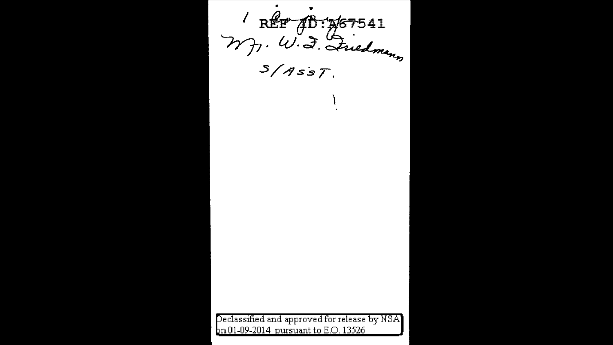$\frac{1}{40}$  : 167541 REF MJ. W. J. Friedmann *e* classified and approved for release by NSA n 01-09-2014 pursuant to E.O. 13526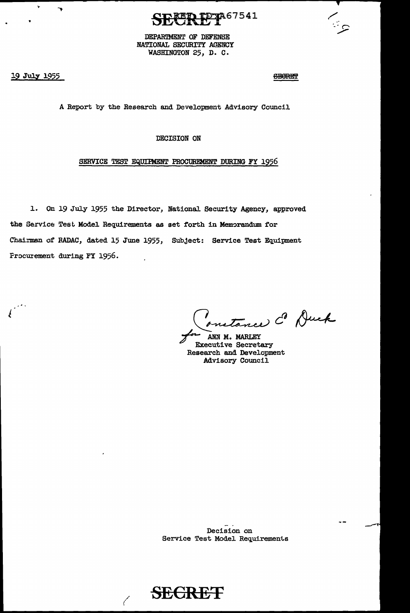

DEPARTMENT OF DEFENSE NATIONAL SECURITY AGENCY WASHINGTON 25, D. C.

19 July 1955

 $\sqrt{ }$ 

 $\overline{\phantom{a}}$ 

**SEGRET** 

A Report by the Research and Development Advisory Council

DECISION ON

## SERVICE TEST EQUIPMENT PROCUREMENT DURING FY 1956

1. On 19 July 1955 the Director, National Security Agency, approved the Service Test Model Requirements as set forth in Memorandum for Chairman of RADAC, dated 15 June 1955, Subject: Service Test Equipment Frocurement during FY 1956.

natance Co Duck

ANN M. MARLEY **Executive Secretary** Research and Development Advisory Council

Decision on Service Test Model Requirements

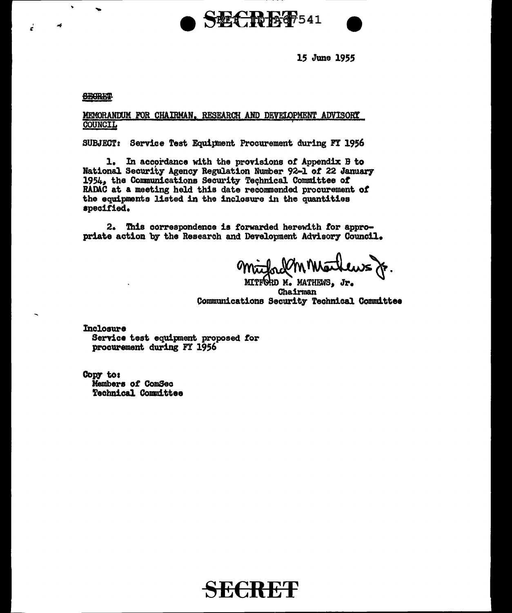

15 June 1955

## **CHORE?**

×,

ċ

## MEMORANDUM FOR CHAIRMAN, RESEARCH AND DEVELOPMENT ADVISORY **COUNCIL**

**SUBJECT:** Service Test Equipment Procurement during FT 1956

In accordance with the provisions of Appendix B to 1. National Security Agency Regulation Number 92-1 of 22 January 1954, the Communications Security Technical Committee of RADAC at a meeting held this date recommended procurement of the equipments listed in the inclosure in the quantities specified.

2. This correspondence is forwarded herewith for appropriate action by the Research and Development Advisory Council.

MITFORD M. MATHEWS, Jr.

Chairman Communications Security Technical Committee

Inclosure Service test equipment proposed for procurement during FY 1956

Copy to: Members of ComSec **Technical Committee**